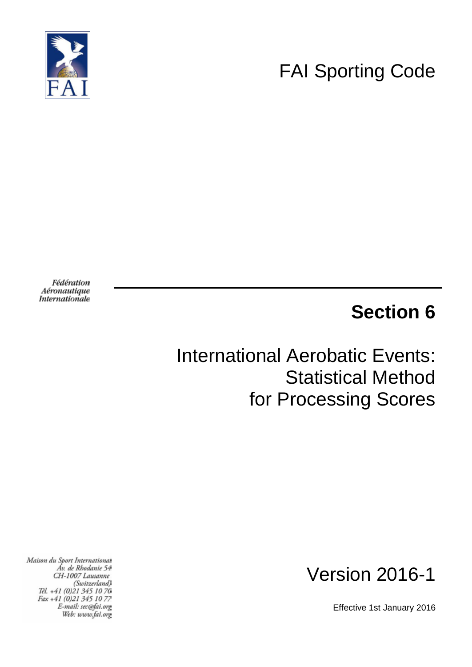

# FAI Sporting Code

Fédération Aéronautique Internationale

# **Section 6**

# International Aerobatic Events: Statistical Method for Processing Scores

Maison du Sport International Áv. de Rhodanie 54 CH-1007 Lausanne (Switzerland) Těl. +41 (0)21 345 10 70 Fax +41 (0)21 345 10 77 E-mail: sec@fai.org Web: www.fai.org



Effective 1st January 2016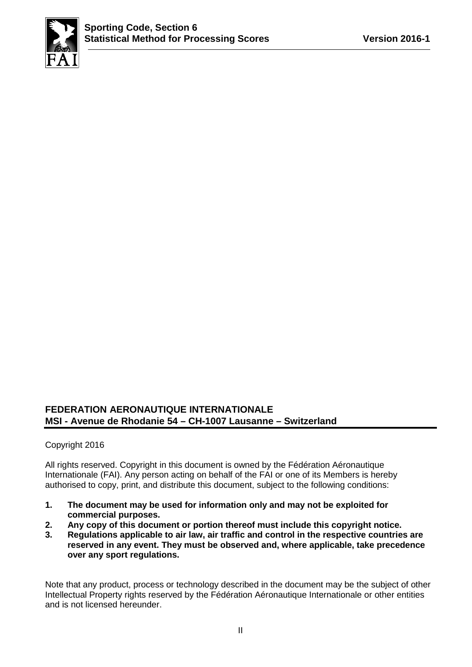

## **FEDERATION AERONAUTIQUE INTERNATIONALE MSI - Avenue de Rhodanie 54 – CH-1007 Lausanne – Switzerland**

#### Copyright 2016

All rights reserved. Copyright in this document is owned by the Fédération Aéronautique Internationale (FAI). Any person acting on behalf of the FAI or one of its Members is hereby authorised to copy, print, and distribute this document, subject to the following conditions:

- **1. The document may be used for information only and may not be exploited for commercial purposes.**
- **2. Any copy of this document or portion thereof must include this copyright notice.**
- **3. Regulations applicable to air law, air traffic and control in the respective countries are reserved in any event. They must be observed and, where applicable, take precedence over any sport regulations.**

Note that any product, process or technology described in the document may be the subject of other Intellectual Property rights reserved by the Fédération Aéronautique Internationale or other entities and is not licensed hereunder.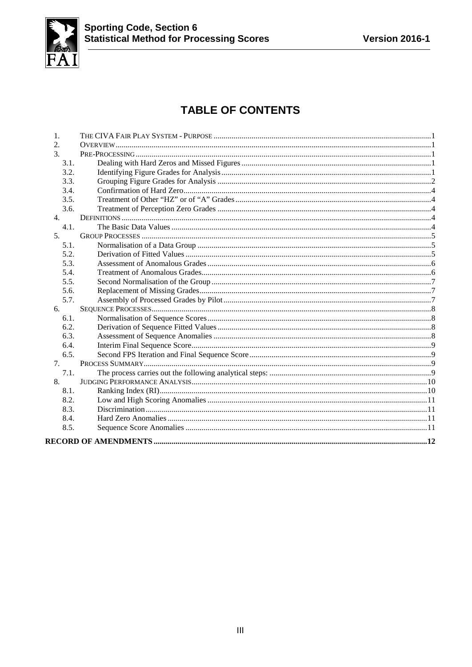

# **TABLE OF CONTENTS**

| 1.   |  |
|------|--|
| 2.   |  |
| 3.   |  |
| 3.1. |  |
| 3.2. |  |
| 3.3. |  |
| 3.4. |  |
| 3.5. |  |
| 3.6. |  |
| 4.   |  |
| 4.1. |  |
| 5.   |  |
| 5.1. |  |
| 5.2. |  |
| 5.3. |  |
| 5.4. |  |
| 5.5. |  |
| 5.6. |  |
| 5.7. |  |
| 6.   |  |
| 6.1. |  |
| 6.2. |  |
| 6.3. |  |
| 6.4. |  |
| 6.5. |  |
| 7.   |  |
| 7.1. |  |
| 8.   |  |
| 8.1. |  |
| 8.2. |  |
| 8.3. |  |
| 8.4. |  |
| 8.5. |  |
|      |  |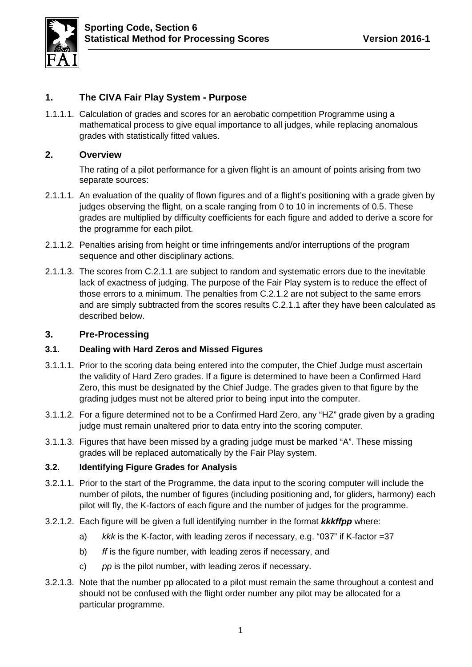

# <span id="page-3-0"></span>**1. The CIVA Fair Play System - Purpose**

1.1.1.1. Calculation of grades and scores for an aerobatic competition Programme using a mathematical process to give equal importance to all judges, while replacing anomalous grades with statistically fitted values.

# <span id="page-3-1"></span>**2. Overview**

The rating of a pilot performance for a given flight is an amount of points arising from two separate sources:

- <span id="page-3-5"></span>2.1.1.1. An evaluation of the quality of flown figures and of a flight's positioning with a grade given by judges observing the flight, on a scale ranging from 0 to 10 in increments of 0.5. These grades are multiplied by difficulty coefficients for each figure and added to derive a score for the programme for each pilot.
- <span id="page-3-6"></span>2.1.1.2. Penalties arising from height or time infringements and/or interruptions of the program sequence and other disciplinary actions.
- 2.1.1.3. The scores from [C.2.1.1](#page-3-5) are subject to random and systematic errors due to the inevitable lack of exactness of judging. The purpose of the Fair Play system is to reduce the effect of those errors to a minimum. The penalties from [C.2.1.2](#page-3-6) are not subject to the same errors and are simply subtracted from the scores results [C.2.1.1](#page-3-5) after they have been calculated as described below.

#### <span id="page-3-2"></span>**3. Pre-Processing**

#### <span id="page-3-3"></span>**3.1. Dealing with Hard Zeros and Missed Figures**

- 3.1.1.1. Prior to the scoring data being entered into the computer, the Chief Judge must ascertain the validity of Hard Zero grades. If a figure is determined to have been a Confirmed Hard Zero, this must be designated by the Chief Judge. The grades given to that figure by the grading judges must not be altered prior to being input into the computer.
- 3.1.1.2. For a figure determined not to be a Confirmed Hard Zero, any "HZ" grade given by a grading judge must remain unaltered prior to data entry into the scoring computer.
- 3.1.1.3. Figures that have been missed by a grading judge must be marked "A". These missing grades will be replaced automatically by the Fair Play system.

#### <span id="page-3-4"></span>**3.2. Identifying Figure Grades for Analysis**

- 3.2.1.1. Prior to the start of the Programme, the data input to the scoring computer will include the number of pilots, the number of figures (including positioning and, for gliders, harmony) each pilot will fly, the K-factors of each figure and the number of judges for the programme.
- 3.2.1.2. Each figure will be given a full identifying number in the format *kkkffpp* where:
	- a) *kkk* is the K-factor, with leading zeros if necessary, e.g. "037" if K-factor =37
	- b) *ff* is the figure number, with leading zeros if necessary, and
	- c) *pp* is the pilot number, with leading zeros if necessary.
- 3.2.1.3. Note that the number pp allocated to a pilot must remain the same throughout a contest and should not be confused with the flight order number any pilot may be allocated for a particular programme.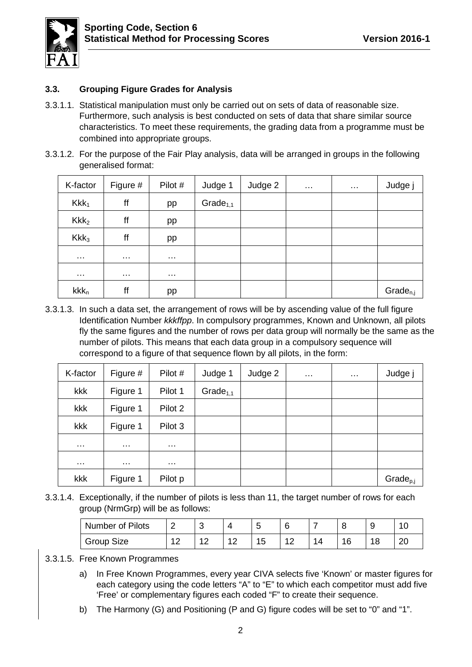

## <span id="page-4-0"></span>**3.3. Grouping Figure Grades for Analysis**

- 3.3.1.1. Statistical manipulation must only be carried out on sets of data of reasonable size. Furthermore, such analysis is best conducted on sets of data that share similar source characteristics. To meet these requirements, the grading data from a programme must be combined into appropriate groups.
- 3.3.1.2. For the purpose of the Fair Play analysis, data will be arranged in groups in the following generalised format:

| K-factor         | Figure #      | Pilot #  | Judge 1        | Judge 2 | $\sim$ $\sim$ | $\sim$ $\sim$ | Judge j       |
|------------------|---------------|----------|----------------|---------|---------------|---------------|---------------|
| Kkk <sub>1</sub> | ff            | pp       | Grade $_{1,1}$ |         |               |               |               |
| Kkk <sub>2</sub> | ff            | pp       |                |         |               |               |               |
| Kkk <sub>3</sub> | ff            | pp       |                |         |               |               |               |
| $\sim$ $\sim$    | $\sim$ $\sim$ | $\cdots$ |                |         |               |               |               |
| $\sim$ $\sim$    | $\sim$ $\sim$ | $\cdots$ |                |         |               |               |               |
| $kkk_n$          | ff            | pp       |                |         |               |               | $Grade_{n,j}$ |

3.3.1.3. In such a data set, the arrangement of rows will be by ascending value of the full figure Identification Number *kkkffpp*. In compulsory programmes, Known and Unknown, all pilots fly the same figures and the number of rows per data group will normally be the same as the number of pilots. This means that each data group in a compulsory sequence will correspond to a figure of that sequence flown by all pilots, in the form:

| K-factor             | Figure $#$           | Pilot #              | Judge 1        | Judge 2 | $\sim$ $\sim$ $\sim$ | $\sim$ $\sim$ | Judge j              |
|----------------------|----------------------|----------------------|----------------|---------|----------------------|---------------|----------------------|
| kkk                  | Figure 1             | Pilot 1              | Grade $_{1,1}$ |         |                      |               |                      |
| kkk                  | Figure 1             | Pilot 2              |                |         |                      |               |                      |
| kkk                  | Figure 1             | Pilot 3              |                |         |                      |               |                      |
| $\sim$ $\sim$ $\sim$ | $\sim$ $\sim$        | $\sim$ $\sim$ $\sim$ |                |         |                      |               |                      |
| $\sim$ $\sim$ $\sim$ | $\sim$ $\sim$ $\sim$ | $\cdots$             |                |         |                      |               |                      |
| kkk                  | Figure 1             | Pilot p              |                |         |                      |               | Grade <sub>p,j</sub> |

<span id="page-4-1"></span>3.3.1.4. Exceptionally, if the number of pilots is less than 11, the target number of rows for each group (NrmGrp) will be as follows:

| <b>Number of Pilots</b> | ╭<br>- | ◠<br>∼       |   | ∽<br><b>M</b> |     |    |     |          |
|-------------------------|--------|--------------|---|---------------|-----|----|-----|----------|
| Group Size              |        | . <u>. .</u> | ∼ | J             | ' 4 | 16 | 1 Q | or<br>∠∪ |

#### 3.3.1.5. Free Known Programmes

- a) In Free Known Programmes, every year CIVA selects five 'Known' or master figures for each category using the code letters "A" to "E" to which each competitor must add five 'Free' or complementary figures each coded "F" to create their sequence.
- b) The Harmony (G) and Positioning (P and G) figure codes will be set to "0" and "1".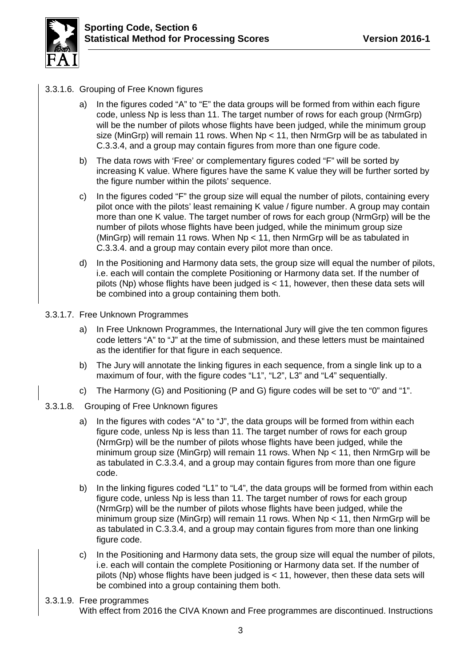

- 3.3.1.6. Grouping of Free Known figures
	- a) In the figures coded "A" to "E" the data groups will be formed from within each figure code, unless Np is less than 11. The target number of rows for each group (NrmGrp) will be the number of pilots whose flights have been judged, while the minimum group size (MinGrp) will remain 11 rows. When  $Np < 11$ , then NrmGrp will be as tabulated in [C.3.3.4,](#page-4-1) and a group may contain figures from more than one figure code.
	- b) The data rows with 'Free' or complementary figures coded "F" will be sorted by increasing K value. Where figures have the same K value they will be further sorted by the figure number within the pilots' sequence.
	- c) In the figures coded "F" the group size will equal the number of pilots, containing every pilot once with the pilots' least remaining K value / figure number. A group may contain more than one K value. The target number of rows for each group (NrmGrp) will be the number of pilots whose flights have been judged, while the minimum group size (MinGrp) will remain 11 rows. When  $Np < 11$ , then NrmGrp will be as tabulated in [C.3.3.4.](#page-4-1) and a group may contain every pilot more than once.
	- d) In the Positioning and Harmony data sets, the group size will equal the number of pilots, i.e. each will contain the complete Positioning or Harmony data set. If the number of pilots (Np) whose flights have been judged is  $<$  11, however, then these data sets will be combined into a group containing them both.
- 3.3.1.7. Free Unknown Programmes
	- a) In Free Unknown Programmes, the International Jury will give the ten common figures code letters "A" to "J" at the time of submission, and these letters must be maintained as the identifier for that figure in each sequence.
	- b) The Jury will annotate the linking figures in each sequence, from a single link up to a maximum of four, with the figure codes "L1", "L2", L3" and "L4" sequentially.
	- c) The Harmony (G) and Positioning (P and G) figure codes will be set to "0" and "1".
- 3.3.1.8. Grouping of Free Unknown figures
	- a) In the figures with codes "A" to "J", the data groups will be formed from within each figure code, unless Np is less than 11. The target number of rows for each group (NrmGrp) will be the number of pilots whose flights have been judged, while the minimum group size (MinGrp) will remain 11 rows. When  $Np < 11$ , then NrmGrp will be as tabulated in [C.3.3.4,](#page-4-1) and a group may contain figures from more than one figure code.
	- b) In the linking figures coded "L1" to "L4", the data groups will be formed from within each figure code, unless Np is less than 11. The target number of rows for each group (NrmGrp) will be the number of pilots whose flights have been judged, while the minimum group size (MinGrp) will remain 11 rows. When  $Np < 11$ , then NrmGrp will be as tabulated in [C.3.3.4,](#page-4-1) and a group may contain figures from more than one linking figure code.
	- c) In the Positioning and Harmony data sets, the group size will equal the number of pilots, i.e. each will contain the complete Positioning or Harmony data set. If the number of pilots (Np) whose flights have been judged is  $<$  11, however, then these data sets will be combined into a group containing them both.
- 3.3.1.9. Free programmes With effect from 2016 the CIVA Known and Free programmes are discontinued. Instructions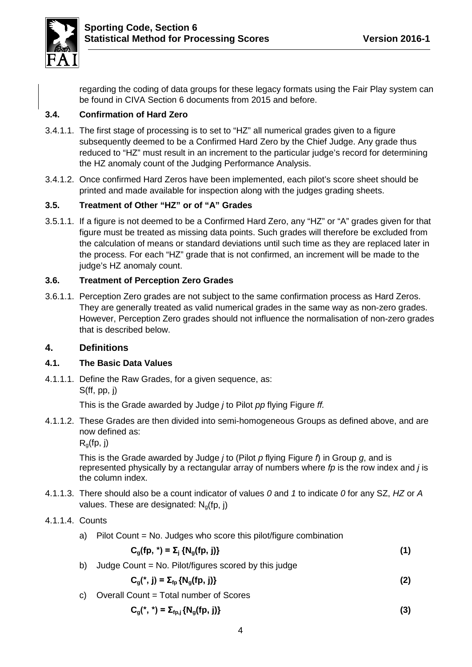

regarding the coding of data groups for these legacy formats using the Fair Play system can be found in CIVA Section 6 documents from 2015 and before.

# <span id="page-6-0"></span>**3.4. Confirmation of Hard Zero**

- 3.4.1.1. The first stage of processing is to set to "HZ" all numerical grades given to a figure subsequently deemed to be a Confirmed Hard Zero by the Chief Judge. Any grade thus reduced to "HZ" must result in an increment to the particular judge's record for determining the HZ anomaly count of the Judging Performance Analysis.
- 3.4.1.2. Once confirmed Hard Zeros have been implemented, each pilot's score sheet should be printed and made available for inspection along with the judges grading sheets.

## <span id="page-6-1"></span>**3.5. Treatment of Other "HZ" or of "A" Grades**

3.5.1.1. If a figure is not deemed to be a Confirmed Hard Zero, any "HZ" or "A" grades given for that figure must be treated as missing data points. Such grades will therefore be excluded from the calculation of means or standard deviations until such time as they are replaced later in the process. For each "HZ" grade that is not confirmed, an increment will be made to the judge's HZ anomaly count.

## <span id="page-6-2"></span>**3.6. Treatment of Perception Zero Grades**

3.6.1.1. Perception Zero grades are not subject to the same confirmation process as Hard Zeros. They are generally treated as valid numerical grades in the same way as non-zero grades. However, Perception Zero grades should not influence the normalisation of non-zero grades that is described below.

#### <span id="page-6-3"></span>**4. Definitions**

#### <span id="page-6-4"></span>**4.1. The Basic Data Values**

4.1.1.1. Define the Raw Grades, for a given sequence, as: S(ff, pp, j)

This is the Grade awarded by Judge *j* to Pilot *pp* flying Figure *ff.*

4.1.1.2. These Grades are then divided into semi-homogeneous Groups as defined above, and are now defined as:

 $R<sub>q</sub>(fp, j)$ 

This is the Grade awarded by Judge *j* to (Pilot *p* flying Figure *f*) in Group *g*, and is represented physically by a rectangular array of numbers where *fp* is the row index and *j* is the column index.

- 4.1.1.3. There should also be a count indicator of values *0* and *1* to indicate *0* for any SZ, *HZ* or *A* values. These are designated:  $N_q$ (fp, j)
- 4.1.1.4. Counts
	- a) Pilot Count = No. Judges who score this pilot/figure combination

$$
C_g(fp, *) = \Sigma_j \{N_g(fp, j)\}
$$
 (1)

b) Judge Count = No. Pilot/figures scored by this judge

$$
C_g(^{*}, j) = \Sigma_{\text{fp}} \{N_g(\text{fp}, j)\}\tag{2}
$$

c) Overall Count = Total number of Scores

$$
C_g(^{*},*) = \Sigma_{fp,j} \{N_g(fp, j)\}\tag{3}
$$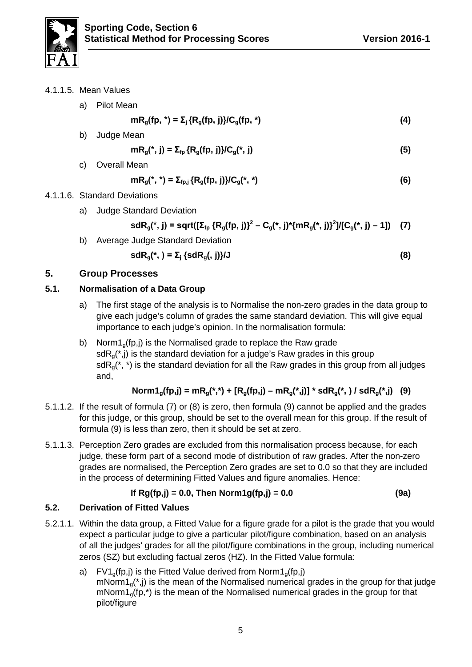

4.1.1.5. Mean Values

|    | a) Pilot Mean                               |     |
|----|---------------------------------------------|-----|
|    | $mRg(fp, * ) = Σj {Rg(fp, j)} / Cg(fp, * )$ | (4) |
| b) | Judge Mean                                  |     |

$$
mR_g(*)j) = \sum_{f} \{R_g(fp, j)\}/C_g(*)j \tag{5}
$$

c) Overall Mean

$$
mR_g(*,*) = \Sigma_{fp,j} \{R_g(fp,j)\} / C_g(*,*)
$$
 (6)

# 4.1.1.6. Standard Deviations

a) Judge Standard Deviation

sdR<sub>g</sub>(\*, j) = sqrt([
$$
\Sigma_{fp}
$$
 {R<sub>g</sub>(fp, j))<sup>2</sup> – C<sub>g</sub>(\*, j)\*{mR<sub>g</sub>(\*, j)}<sup>2</sup>]/[C<sub>g</sub>(\*, j) – 1]) (7)

b) Average Judge Standard Deviation

$$
sdR_{g}(^{*}, ) = \sum_{j} \{ sdR_{g}(, j)\}/J \tag{8}
$$

# <span id="page-7-0"></span>**5. Group Processes**

# <span id="page-7-1"></span>**5.1. Normalisation of a Data Group**

- a) The first stage of the analysis is to Normalise the non-zero grades in the data group to give each judge's column of grades the same standard deviation. This will give equal importance to each judge's opinion. In the normalisation formula:
- b) Norm $1<sub>a</sub>(fp, j)$  is the Normalised grade to replace the Raw grade  $sdR<sub>0</sub>(<sup>*</sup>,j)$  is the standard deviation for a judge's Raw grades in this group sd $R_q$ <sup>\*</sup>, \*) is the standard deviation for all the Raw grades in this group from all judges and,

$$
Norm1_{g}(fp,j) = mR_{g}(*,*) + [R_{g}(fp,j) - mR_{g}(*,j)] * sdR_{g}(*,) / sdR_{g}(*,j)
$$
 (9)

- 5.1.1.2. If the result of formula (7) or (8) is zero, then formula (9) cannot be applied and the grades for this judge, or this group, should be set to the overall mean for this group. If the result of formula (9) is less than zero, then it should be set at zero.
- 5.1.1.3. Perception Zero grades are excluded from this normalisation process because, for each judge, these form part of a second mode of distribution of raw grades. After the non-zero grades are normalised, the Perception Zero grades are set to 0.0 so that they are included in the process of determining Fitted Values and figure anomalies. Hence:

If 
$$
Rg(fp,j) = 0.0
$$
, Then  $Norm1g(fp,j) = 0.0$  (9a)

# <span id="page-7-2"></span>**5.2. Derivation of Fitted Values**

- 5.2.1.1. Within the data group, a Fitted Value for a figure grade for a pilot is the grade that you would expect a particular judge to give a particular pilot/figure combination, based on an analysis of all the judges' grades for all the pilot/figure combinations in the group, including numerical zeros (SZ) but excluding factual zeros (HZ). In the Fitted Value formula:
	- a) FV1<sub>g</sub>(fp,j) is the Fitted Value derived from Norm1<sub>g</sub>(fp,j)  $m\text{Norm1}_0(*,j)$  is the mean of the Normalised numerical grades in the group for that judge  $m\text{Norm1}_q(\text{fp},\text{*})$  is the mean of the Normalised numerical grades in the group for that pilot/figure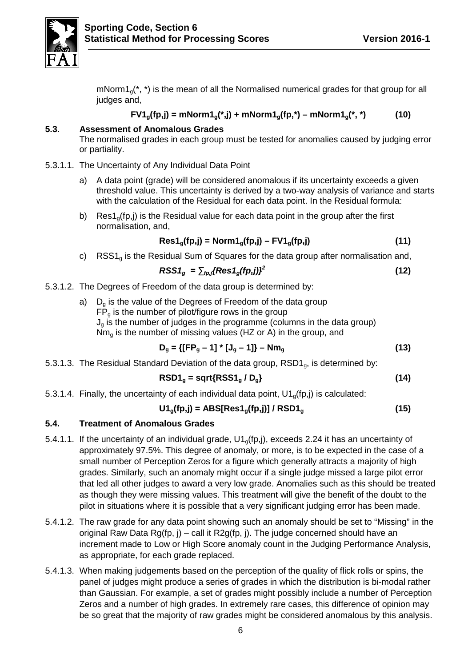

 $m\text{Norm1}_0$ <sup>\*</sup>, \*) is the mean of all the Normalised numerical grades for that group for all judges and,

$$
FV1_{g}(fp,j) = mNorm1_{g}(*,j) + mNorm1_{g}(fp,*) - mNorm1_{g}(*,*)
$$
 (10)

#### <span id="page-8-0"></span>**5.3. Assessment of Anomalous Grades**

The normalised grades in each group must be tested for anomalies caused by judging error or partiality.

- 5.3.1.1. The Uncertainty of Any Individual Data Point
	- a) A data point (grade) will be considered anomalous if its uncertainty exceeds a given threshold value. This uncertainty is derived by a two-way analysis of variance and starts with the calculation of the Residual for each data point. In the Residual formula:
	- b) Res1<sub>g</sub>(fp,j) is the Residual value for each data point in the group after the first normalisation, and,

$$
Res1_{g}(fp,j) = Norm1_{g}(fp,j) - FVI_{g}(fp,j)
$$
 (11)

c)  $RSS1<sub>a</sub>$  is the Residual Sum of Squares for the data group after normalisation and,

$$
RSS1_g = \sum_{fp,j} \{Res1_g(fp,j)\}^2
$$
 (12)

- 5.3.1.2. The Degrees of Freedom of the data group is determined by:
	- a)  $D<sub>a</sub>$  is the value of the Degrees of Freedom of the data group  $\overline{FP}_q$  is the number of pilot/figure rows in the group  $J<sub>g</sub>$  is the number of judges in the programme (columns in the data group)  $Nm<sub>q</sub>$  is the number of missing values (HZ or A) in the group, and

$$
D_g = \{[FP_g - 1]^* [J_g - 1]\} - Nm_g
$$
 (13)

5.3.1.3. The Residual Standard Deviation of the data group,  $RSD1<sub>g</sub>$ , is determined by:

$$
RSD1g = sqrt{RSS1g / Dg}
$$
 (14)

5.3.1.4. Finally, the uncertainty of each individual data point,  $U1<sub>0</sub>(fp, j)$  is calculated:

$$
U1_g(fp,j) = ABS[Res1_g(fp,j)] / RSD1_g
$$
 (15)

#### <span id="page-8-1"></span>**5.4. Treatment of Anomalous Grades**

- 5.4.1.1. If the uncertainty of an individual grade,  $U1<sub>q</sub>(fp,j)$ , exceeds 2.24 it has an uncertainty of approximately 97.5%. This degree of anomaly, or more, is to be expected in the case of a small number of Perception Zeros for a figure which generally attracts a majority of high grades. Similarly, such an anomaly might occur if a single judge missed a large pilot error that led all other judges to award a very low grade. Anomalies such as this should be treated as though they were missing values. This treatment will give the benefit of the doubt to the pilot in situations where it is possible that a very significant judging error has been made.
- 5.4.1.2. The raw grade for any data point showing such an anomaly should be set to "Missing" in the original Raw Data Rg(fp, j) – call it R2g(fp, j). The judge concerned should have an increment made to Low or High Score anomaly count in the Judging Performance Analysis, as appropriate, for each grade replaced.
- 5.4.1.3. When making judgements based on the perception of the quality of flick rolls or spins, the panel of judges might produce a series of grades in which the distribution is bi-modal rather than Gaussian. For example, a set of grades might possibly include a number of Perception Zeros and a number of high grades. In extremely rare cases, this difference of opinion may be so great that the majority of raw grades might be considered anomalous by this analysis.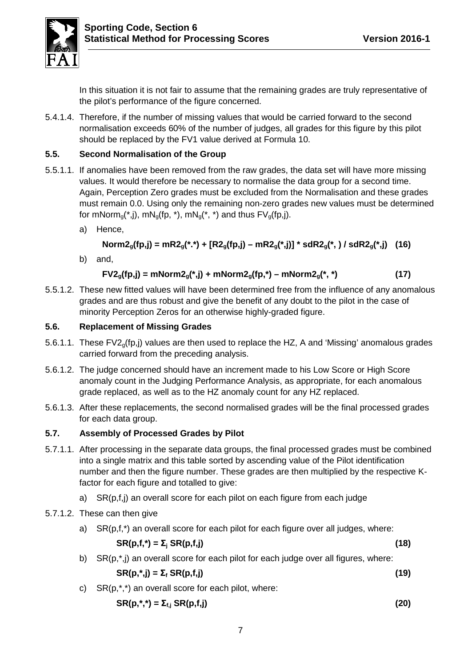

In this situation it is not fair to assume that the remaining grades are truly representative of the pilot's performance of the figure concerned.

5.4.1.4. Therefore, if the number of missing values that would be carried forward to the second normalisation exceeds 60% of the number of judges, all grades for this figure by this pilot should be replaced by the FV1 value derived at Formula 10.

# <span id="page-9-0"></span>**5.5. Second Normalisation of the Group**

- 5.5.1.1. If anomalies have been removed from the raw grades, the data set will have more missing values. It would therefore be necessary to normalise the data group for a second time. Again, Perception Zero grades must be excluded from the Normalisation and these grades must remain 0.0. Using only the remaining non-zero grades new values must be determined for mNorm<sub>a</sub>(\*,j), mN<sub>a</sub>(fp, \*), mN<sub>a</sub>(\*, \*) and thus  $FV_a(fp,j)$ .
	- a) Hence,

$$
Norm2_{g}(fp,j) = mR2_{g}(*.*) + [R2_{g}(fp,j) - mR2_{g}(*.j)] * sdR2_{g}(*.) / sdR2_{g}(*.j)
$$
 (16)

b) and,

$$
FV2_{g}(fp,j) = mNorm2_{g}(*,j) + mNorm2_{g}(fp,*) - mNorm2_{g}(*,*)
$$
 (17)

5.5.1.2. These new fitted values will have been determined free from the influence of any anomalous grades and are thus robust and give the benefit of any doubt to the pilot in the case of minority Perception Zeros for an otherwise highly-graded figure.

## <span id="page-9-1"></span>**5.6. Replacement of Missing Grades**

- 5.6.1.1. These FV2g(fp,j) values are then used to replace the HZ, A and 'Missing' anomalous grades carried forward from the preceding analysis.
- 5.6.1.2. The judge concerned should have an increment made to his Low Score or High Score anomaly count in the Judging Performance Analysis, as appropriate, for each anomalous grade replaced, as well as to the HZ anomaly count for any HZ replaced.
- 5.6.1.3. After these replacements, the second normalised grades will be the final processed grades for each data group.

# <span id="page-9-2"></span>**5.7. Assembly of Processed Grades by Pilot**

- 5.7.1.1. After processing in the separate data groups, the final processed grades must be combined into a single matrix and this table sorted by ascending value of the Pilot identification number and then the figure number. These grades are then multiplied by the respective Kfactor for each figure and totalled to give:
	- a) SR(p,f,j) an overall score for each pilot on each figure from each judge
- 5.7.1.2. These can then give
	- a) SR(p,f,\*) an overall score for each pilot for each figure over all judges, where:

$$
SR(p,f,*) = \Sigma_j SR(p,f,j)
$$
 (18)

b) SR(p,\*,j) an overall score for each pilot for each judge over all figures, where:

$$
SR(p,*,j) = \Sigma_f SR(p,f,j)
$$
 (19)

c)  $SR(p,*,*)$  an overall score for each pilot, where:

$$
SR(p,*,*) = \Sigma_{f,j} SR(p,f,j)
$$
 (20)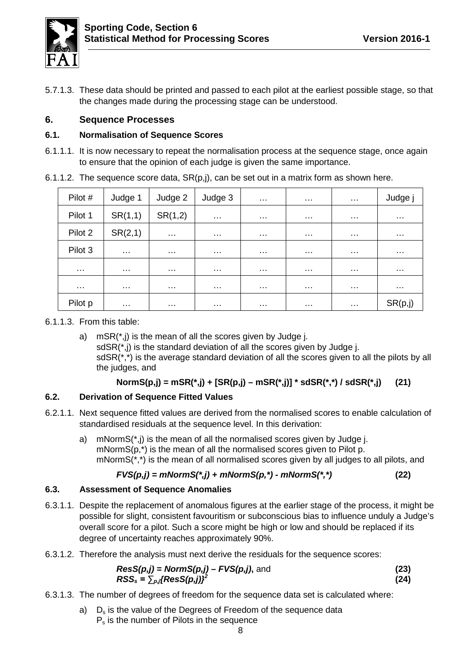

5.7.1.3. These data should be printed and passed to each pilot at the earliest possible stage, so that the changes made during the processing stage can be understood.

## <span id="page-10-0"></span>**6. Sequence Processes**

#### <span id="page-10-1"></span>**6.1. Normalisation of Sequence Scores**

6.1.1.1. It is now necessary to repeat the normalisation process at the sequence stage, once again to ensure that the opinion of each judge is given the same importance.

| Pilot #  | Judge 1              | Judge 2              | Judge 3              | $\cdots$             | $\cdots$             | $\cdots$             | Judge j              |
|----------|----------------------|----------------------|----------------------|----------------------|----------------------|----------------------|----------------------|
| Pilot 1  | SR(1,1)              | SR(1,2)              | $\sim$ $\sim$ $\sim$ | $\cdots$             | $\cdots$             | $\cdots$             | $\sim$ $\sim$ $\sim$ |
| Pilot 2  | SR(2,1)              | $\cdots$             | $\sim$ $\sim$ $\sim$ | $\sim$ $\sim$ $\sim$ | $\sim$ $\sim$ $\sim$ | $\sim$ $\sim$ $\sim$ | $\sim$ $\sim$ $\sim$ |
| Pilot 3  | $\sim$ $\sim$ $\sim$ | $\sim$ $\sim$ $\sim$ | $\sim$ $\sim$ $\sim$ | $\sim$ $\sim$ $\sim$ | $\sim$ $\sim$ $\sim$ | $\sim$ $\sim$ $\sim$ | $\sim$ $\sim$ $\sim$ |
| .        | .                    | .                    | $\cdots$             | $\cdots$             | $\sim$ $\sim$ $\sim$ | .                    | $\sim$ $\sim$ $\sim$ |
| $\cdots$ | $\cdots$             | $\sim$ $\sim$ $\sim$ | $\cdots$             | $\sim$ $\sim$ $\sim$ | $\sim$ $\sim$ $\sim$ | $\cdots$             | $\cdots$             |
| Pilot p  | $\sim$ $\sim$ $\sim$ | $\sim$ $\sim$ $\sim$ | $\sim$ $\sim$ $\sim$ | $\sim$ $\sim$ $\sim$ | $\sim$ $\sim$ $\sim$ | $\sim$ $\sim$ $\sim$ | SR(p, j)             |

6.1.1.2. The sequence score data,  $SR(p, j)$ , can be set out in a matrix form as shown here.

6.1.1.3. From this table:

a)  $mSR(*,j)$  is the mean of all the scores given by Judge j. sdSR(\*,j) is the standard deviation of all the scores given by Judge j. sdSR(\*,\*) is the average standard deviation of all the scores given to all the pilots by all the judges, and

# **NormS(p,j) = mSR(\*,j) + [SR(p,j) – mSR(\*,j)] \* sdSR(\*,\*) / sdSR(\*,j) (21)**

# <span id="page-10-2"></span>**6.2. Derivation of Sequence Fitted Values**

- 6.2.1.1. Next sequence fitted values are derived from the normalised scores to enable calculation of standardised residuals at the sequence level. In this derivation:
	- a) mNormS(\*,j) is the mean of all the normalised scores given by Judge j. mNormS(p,\*) is the mean of all the normalised scores given to Pilot p.  $mNormS(*,*)$  is the mean of all normalised scores given by all judges to all pilots, and

# *FVS(p,j) = mNormS(\*,j) + mNormS(p,\*) - mNormS(\*,\*)* **(22)**

#### <span id="page-10-3"></span>**6.3. Assessment of Sequence Anomalies**

- 6.3.1.1. Despite the replacement of anomalous figures at the earlier stage of the process, it might be possible for slight, consistent favouritism or subconscious bias to influence unduly a Judge's overall score for a pilot. Such a score might be high or low and should be replaced if its degree of uncertainty reaches approximately 90%.
- 6.3.1.2. Therefore the analysis must next derive the residuals for the sequence scores:

$$
ResS(p,j) = NormS(p,j) - FVS(p,j), \text{ and}
$$
\n
$$
RSS_s = \sum_{p,j} \{ResS(p,j)\}^2
$$
\n(24)

- 6.3.1.3. The number of degrees of freedom for the sequence data set is calculated where:
	- a)  $D_s$  is the value of the Degrees of Freedom of the sequence data P<sub>s</sub> is the number of Pilots in the sequence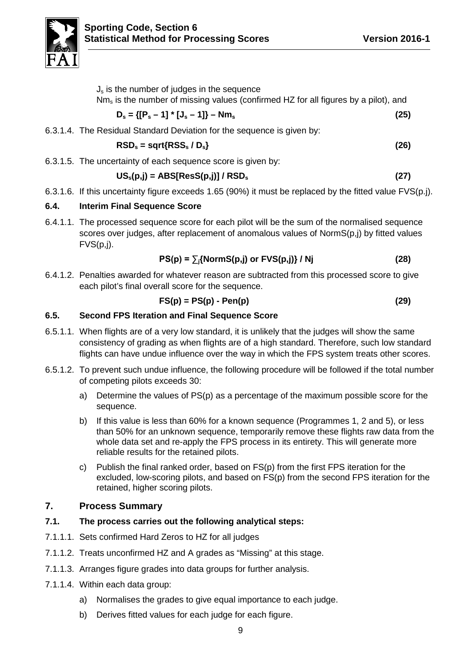

| $Js$ is the number of judges in the sequence<br>$Nm_s$ is the number of missing values (confirmed HZ for all figures by a pilot), and |      |
|---------------------------------------------------------------------------------------------------------------------------------------|------|
| $D_s = \{ [P_s - 1] * [J_s - 1] \} - Nm_s$                                                                                            | (25) |
| 6.3.1.4. The Residual Standard Deviation for the sequence is given by:                                                                |      |
| $\text{RSD}_s = \text{sqrt}\{\text{RSS}_s / \text{D}_s\}$                                                                             | (26) |
| 6.3.1.5. The uncertainty of each sequence score is given by:                                                                          |      |
| $US_s(p,j) = ABS[Res(p,j)] / RSD_s$                                                                                                   | (27) |

6.3.1.6. If this uncertainty figure exceeds 1.65 (90%) it must be replaced by the fitted value FVS(p.j).

## <span id="page-11-0"></span>**6.4. Interim Final Sequence Score**

6.4.1.1. The processed sequence score for each pilot will be the sum of the normalised sequence scores over judges, after replacement of anomalous values of NormS(p,j) by fitted values  $FVS(p,j)$ .

$$
PS(p) = \sum_{j} \{NormS(p,j) \text{ or } FVS(p,j)\} / Nj \qquad (28)
$$

6.4.1.2. Penalties awarded for whatever reason are subtracted from this processed score to give each pilot's final overall score for the sequence.

$$
FS(p) = PS(p) - Pen(p) \tag{29}
$$

#### <span id="page-11-1"></span>**6.5. Second FPS Iteration and Final Sequence Score**

- 6.5.1.1. When flights are of a very low standard, it is unlikely that the judges will show the same consistency of grading as when flights are of a high standard. Therefore, such low standard flights can have undue influence over the way in which the FPS system treats other scores.
- 6.5.1.2. To prevent such undue influence, the following procedure will be followed if the total number of competing pilots exceeds 30:
	- a) Determine the values of PS(p) as a percentage of the maximum possible score for the sequence.
	- b) If this value is less than 60% for a known sequence (Programmes 1, 2 and 5), or less than 50% for an unknown sequence, temporarily remove these flights raw data from the whole data set and re-apply the FPS process in its entirety. This will generate more reliable results for the retained pilots.
	- c) Publish the final ranked order, based on FS(p) from the first FPS iteration for the excluded, low-scoring pilots, and based on FS(p) from the second FPS iteration for the retained, higher scoring pilots.

# <span id="page-11-2"></span>**7. Process Summary**

# <span id="page-11-3"></span>**7.1. The process carries out the following analytical steps:**

- 7.1.1.1. Sets confirmed Hard Zeros to HZ for all judges
- 7.1.1.2. Treats unconfirmed HZ and A grades as "Missing" at this stage.
- 7.1.1.3. Arranges figure grades into data groups for further analysis.
- 7.1.1.4. Within each data group:
	- a) Normalises the grades to give equal importance to each judge.
	- b) Derives fitted values for each judge for each figure.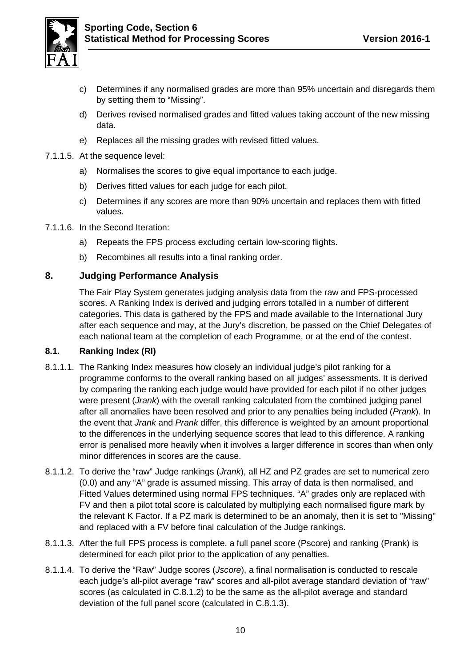

- c) Determines if any normalised grades are more than 95% uncertain and disregards them by setting them to "Missing".
- d) Derives revised normalised grades and fitted values taking account of the new missing data.
- e) Replaces all the missing grades with revised fitted values.
- 7.1.1.5. At the sequence level:
	- a) Normalises the scores to give equal importance to each judge.
	- b) Derives fitted values for each judge for each pilot.
	- c) Determines if any scores are more than 90% uncertain and replaces them with fitted values.
- 7.1.1.6. In the Second Iteration:
	- a) Repeats the FPS process excluding certain low-scoring flights.
	- b) Recombines all results into a final ranking order.

#### <span id="page-12-0"></span>**8. Judging Performance Analysis**

The Fair Play System generates judging analysis data from the raw and FPS-processed scores. A Ranking Index is derived and judging errors totalled in a number of different categories. This data is gathered by the FPS and made available to the International Jury after each sequence and may, at the Jury's discretion, be passed on the Chief Delegates of each national team at the completion of each Programme, or at the end of the contest.

#### <span id="page-12-1"></span>**8.1. Ranking Index (RI)**

- 8.1.1.1. The Ranking Index measures how closely an individual judge's pilot ranking for a programme conforms to the overall ranking based on all judges' assessments. It is derived by comparing the ranking each judge would have provided for each pilot if no other judges were present (*Jrank*) with the overall ranking calculated from the combined judging panel after all anomalies have been resolved and prior to any penalties being included (*Prank*). In the event that *Jrank* and *Prank* differ, this difference is weighted by an amount proportional to the differences in the underlying sequence scores that lead to this difference. A ranking error is penalised more heavily when it involves a larger difference in scores than when only minor differences in scores are the cause.
- <span id="page-12-2"></span>8.1.1.2. To derive the "raw" Judge rankings (*Jrank*), all HZ and PZ grades are set to numerical zero (0.0) and any "A" grade is assumed missing. This array of data is then normalised, and Fitted Values determined using normal FPS techniques. "A" grades only are replaced with FV and then a pilot total score is calculated by multiplying each normalised figure mark by the relevant K Factor. If a PZ mark is determined to be an anomaly, then it is set to "Missing" and replaced with a FV before final calculation of the Judge rankings.
- <span id="page-12-3"></span>8.1.1.3. After the full FPS process is complete, a full panel score (Pscore) and ranking (Prank) is determined for each pilot prior to the application of any penalties.
- 8.1.1.4. To derive the "Raw" Judge scores (*Jscore*), a final normalisation is conducted to rescale each judge's all-pilot average "raw" scores and all-pilot average standard deviation of "raw" scores (as calculated in [C.8.1.2\)](#page-12-2) to be the same as the all-pilot average and standard deviation of the full panel score (calculated in [C.8.1.3\)](#page-12-3).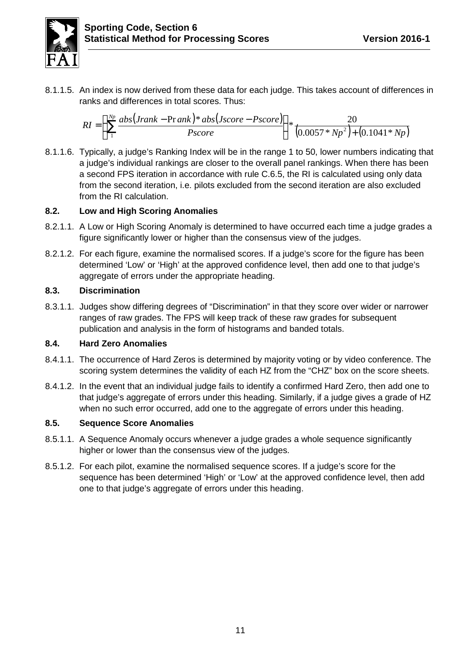

8.1.1.5. An index is now derived from these data for each judge. This takes account of differences in ranks and differences in total scores. Thus:

$$
RI = \int_{\int_{1}^{N_p} \frac{abs(Jrank - Prank)*abs(Jscore - Pscore)}{pscore}} \int_{\frac{N_p}{2}}^{N_p} \frac{20}{(0.0057*N_p^2)+(0.1041*N_p)}
$$

8.1.1.6. Typically, a judge's Ranking Index will be in the range 1 to 50, lower numbers indicating that a judge's individual rankings are closer to the overall panel rankings. When there has been a second FPS iteration in accordance with rule [C.6.5,](#page-11-1) the RI is calculated using only data from the second iteration, i.e. pilots excluded from the second iteration are also excluded from the RI calculation.

## <span id="page-13-0"></span>**8.2. Low and High Scoring Anomalies**

- 8.2.1.1. A Low or High Scoring Anomaly is determined to have occurred each time a judge grades a figure significantly lower or higher than the consensus view of the judges.
- 8.2.1.2. For each figure, examine the normalised scores. If a judge's score for the figure has been determined 'Low' or 'High' at the approved confidence level, then add one to that judge's aggregate of errors under the appropriate heading.

#### <span id="page-13-1"></span>**8.3. Discrimination**

8.3.1.1. Judges show differing degrees of "Discrimination" in that they score over wider or narrower ranges of raw grades. The FPS will keep track of these raw grades for subsequent publication and analysis in the form of histograms and banded totals.

#### <span id="page-13-2"></span>**8.4. Hard Zero Anomalies**

- 8.4.1.1. The occurrence of Hard Zeros is determined by majority voting or by video conference. The scoring system determines the validity of each HZ from the "CHZ" box on the score sheets.
- 8.4.1.2. In the event that an individual judge fails to identify a confirmed Hard Zero, then add one to that judge's aggregate of errors under this heading. Similarly, if a judge gives a grade of HZ when no such error occurred, add one to the aggregate of errors under this heading.

#### <span id="page-13-3"></span>**8.5. Sequence Score Anomalies**

- 8.5.1.1. A Sequence Anomaly occurs whenever a judge grades a whole sequence significantly higher or lower than the consensus view of the judges.
- 8.5.1.2. For each pilot, examine the normalised sequence scores. If a judge's score for the sequence has been determined 'High' or 'Low' at the approved confidence level, then add one to that judge's aggregate of errors under this heading.